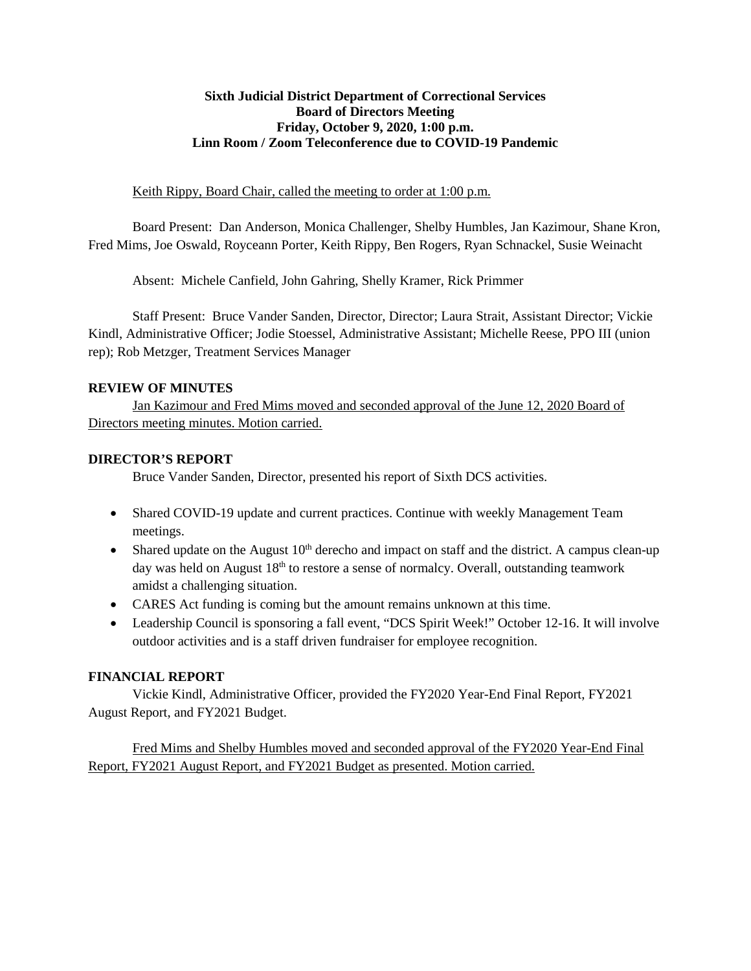#### **Sixth Judicial District Department of Correctional Services Board of Directors Meeting Friday, October 9, 2020, 1:00 p.m. Linn Room / Zoom Teleconference due to COVID-19 Pandemic**

#### Keith Rippy, Board Chair, called the meeting to order at 1:00 p.m.

Board Present: Dan Anderson, Monica Challenger, Shelby Humbles, Jan Kazimour, Shane Kron, Fred Mims, Joe Oswald, Royceann Porter, Keith Rippy, Ben Rogers, Ryan Schnackel, Susie Weinacht

Absent: Michele Canfield, John Gahring, Shelly Kramer, Rick Primmer

Staff Present: Bruce Vander Sanden, Director, Director; Laura Strait, Assistant Director; Vickie Kindl, Administrative Officer; Jodie Stoessel, Administrative Assistant; Michelle Reese, PPO III (union rep); Rob Metzger, Treatment Services Manager

### **REVIEW OF MINUTES**

Jan Kazimour and Fred Mims moved and seconded approval of the June 12, 2020 Board of Directors meeting minutes. Motion carried.

## **DIRECTOR'S REPORT**

Bruce Vander Sanden, Director, presented his report of Sixth DCS activities.

- Shared COVID-19 update and current practices. Continue with weekly Management Team meetings.
- Shared update on the August  $10<sup>th</sup>$  derecho and impact on staff and the district. A campus clean-up day was held on August  $18<sup>th</sup>$  to restore a sense of normalcy. Overall, outstanding teamwork amidst a challenging situation.
- CARES Act funding is coming but the amount remains unknown at this time.
- Leadership Council is sponsoring a fall event, "DCS Spirit Week!" October 12-16. It will involve outdoor activities and is a staff driven fundraiser for employee recognition.

## **FINANCIAL REPORT**

Vickie Kindl, Administrative Officer, provided the FY2020 Year-End Final Report, FY2021 August Report, and FY2021 Budget.

Fred Mims and Shelby Humbles moved and seconded approval of the FY2020 Year-End Final Report, FY2021 August Report, and FY2021 Budget as presented. Motion carried.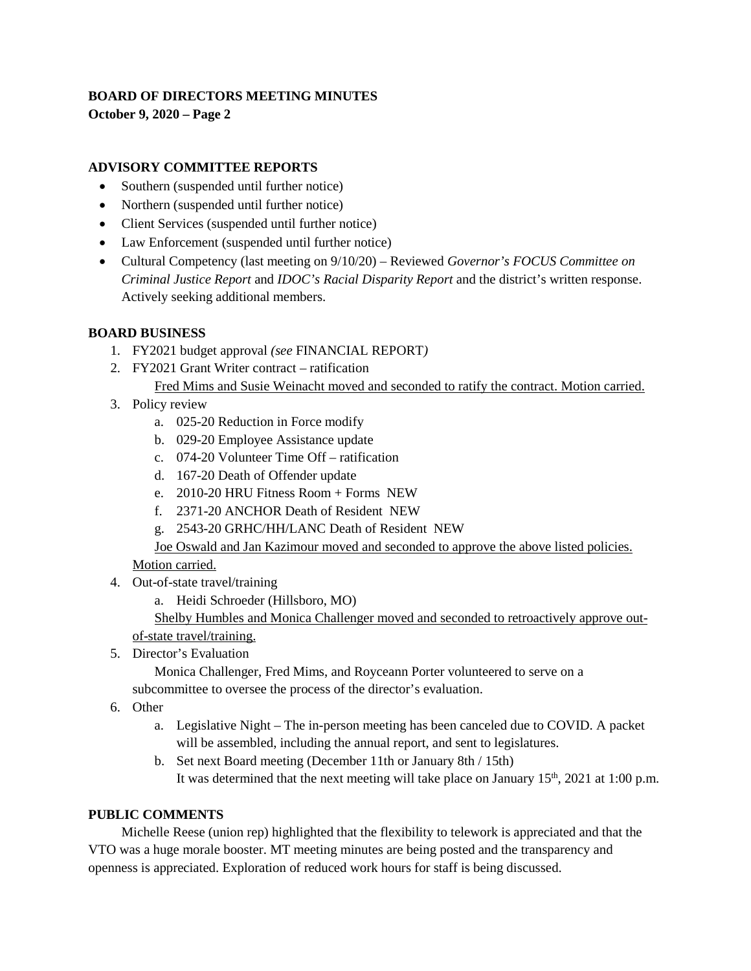## **BOARD OF DIRECTORS MEETING MINUTES**

**October 9, 2020 – Page 2**

## **ADVISORY COMMITTEE REPORTS**

- Southern (suspended until further notice)
- Northern (suspended until further notice)
- Client Services (suspended until further notice)
- Law Enforcement (suspended until further notice)
- Cultural Competency (last meeting on 9/10/20) Reviewed *Governor's FOCUS Committee on Criminal Justice Report* and *IDOC's Racial Disparity Report* and the district's written response. Actively seeking additional members.

## **BOARD BUSINESS**

- 1. FY2021 budget approval *(see* FINANCIAL REPORT*)*
- 2. FY2021 Grant Writer contract ratification Fred Mims and Susie Weinacht moved and seconded to ratify the contract. Motion carried.
- 3. Policy review
	- a. 025-20 Reduction in Force modify
	- b. 029-20 Employee Assistance update
	- c. 074-20 Volunteer Time Off ratification
	- d. 167-20 Death of Offender update
	- e. 2010-20 HRU Fitness Room + Forms NEW
	- f. 2371-20 ANCHOR Death of Resident NEW
	- g. 2543-20 GRHC/HH/LANC Death of Resident NEW

Joe Oswald and Jan Kazimour moved and seconded to approve the above listed policies.

Motion carried.

- 4. Out-of-state travel/training
	- a. Heidi Schroeder (Hillsboro, MO)

Shelby Humbles and Monica Challenger moved and seconded to retroactively approve outof-state travel/training.

5. Director's Evaluation

Monica Challenger, Fred Mims, and Royceann Porter volunteered to serve on a

subcommittee to oversee the process of the director's evaluation.

- 6. Other
	- a. Legislative Night The in-person meeting has been canceled due to COVID. A packet will be assembled, including the annual report, and sent to legislatures.
	- b. Set next Board meeting (December 11th or January 8th / 15th) It was determined that the next meeting will take place on January  $15<sup>th</sup>$ , 2021 at 1:00 p.m.

## **PUBLIC COMMENTS**

Michelle Reese (union rep) highlighted that the flexibility to telework is appreciated and that the VTO was a huge morale booster. MT meeting minutes are being posted and the transparency and openness is appreciated. Exploration of reduced work hours for staff is being discussed.